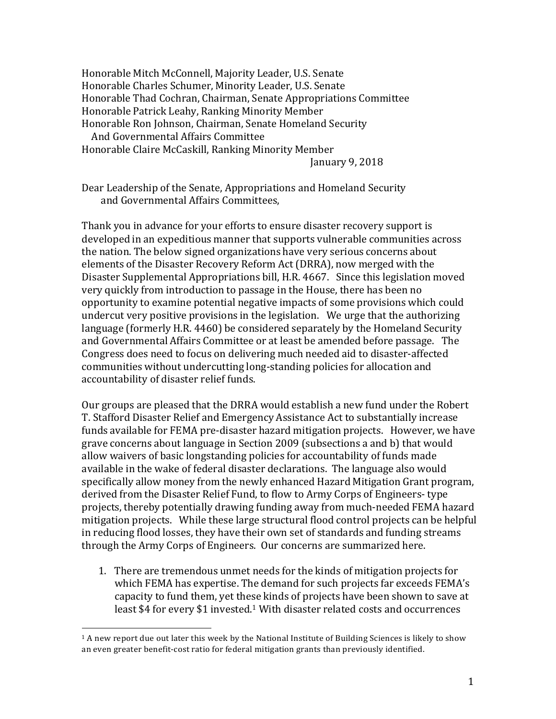Honorable Mitch McConnell, Majority Leader, U.S. Senate Honorable Charles Schumer, Minority Leader, U.S. Senate Honorable Thad Cochran, Chairman, Senate Appropriations Committee Honorable Patrick Leahy, Ranking Minority Member Honorable Ron Johnson, Chairman, Senate Homeland Security And Governmental Affairs Committee Honorable Claire McCaskill, Ranking Minority Member

January 9, 2018

Dear Leadership of the Senate, Appropriations and Homeland Security and Governmental Affairs Committees,

Thank you in advance for your efforts to ensure disaster recovery support is developed in an expeditious manner that supports vulnerable communities across the nation. The below signed organizations have very serious concerns about elements of the Disaster Recovery Reform Act (DRRA), now merged with the Disaster Supplemental Appropriations bill, H.R. 4667. Since this legislation moved very quickly from introduction to passage in the House, there has been no opportunity to examine potential negative impacts of some provisions which could undercut very positive provisions in the legislation. We urge that the authorizing language (formerly H.R. 4460) be considered separately by the Homeland Security and Governmental Affairs Committee or at least be amended before passage. The Congress does need to focus on delivering much needed aid to disaster-affected communities without undercutting long-standing policies for allocation and accountability of disaster relief funds.

Our groups are pleased that the DRRA would establish a new fund under the Robert T. Stafford Disaster Relief and Emergency Assistance Act to substantially increase funds available for FEMA pre-disaster hazard mitigation projects. However, we have grave concerns about language in Section 2009 (subsections a and b) that would allow waivers of basic longstanding policies for accountability of funds made available in the wake of federal disaster declarations. The language also would specifically allow money from the newly enhanced Hazard Mitigation Grant program, derived from the Disaster Relief Fund, to flow to Army Corps of Engineers- type projects, thereby potentially drawing funding away from much-needed FEMA hazard mitigation projects. While these large structural flood control projects can be helpful in reducing flood losses, they have their own set of standards and funding streams through the Army Corps of Engineers. Our concerns are summarized here.

1. There are tremendous unmet needs for the kinds of mitigation projects for which FEMA has expertise. The demand for such projects far exceeds FEMA's capacity to fund them, yet these kinds of projects have been shown to save at least \$4 for every \$1 invested.<sup>1</sup> With disaster related costs and occurrences

<u> 1989 - Jan Samuel Barbara, poeta estadounidense de la propia de la propia de la propia de la propia de la pr</u>

 $1$  A new report due out later this week by the National Institute of Building Sciences is likely to show an even greater benefit-cost ratio for federal mitigation grants than previously identified.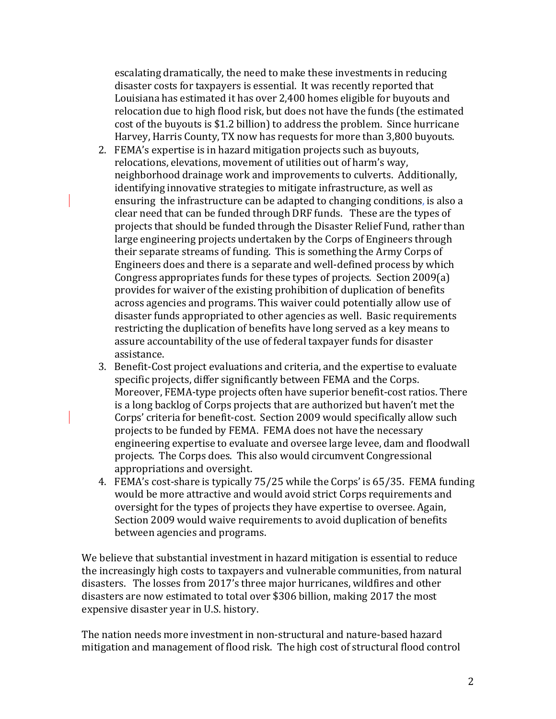escalating dramatically, the need to make these investments in reducing disaster costs for taxpayers is essential. It was recently reported that Louisiana has estimated it has over 2,400 homes eligible for buyouts and relocation due to high flood risk, but does not have the funds (the estimated cost of the buyouts is \$1.2 billion) to address the problem. Since hurricane Harvey, Harris County, TX now has requests for more than 3,800 buyouts.

- 2. FEMA's expertise is in hazard mitigation projects such as buyouts, relocations, elevations, movement of utilities out of harm's way, neighborhood drainage work and improvements to culverts. Additionally, identifying innovative strategies to mitigate infrastructure, as well as ensuring the infrastructure can be adapted to changing conditions, is also a clear need that can be funded through DRF funds. These are the types of projects that should be funded through the Disaster Relief Fund, rather than large engineering projects undertaken by the Corps of Engineers through their separate streams of funding. This is something the Army Corps of Engineers does and there is a separate and well-defined process by which Congress appropriates funds for these types of projects. Section 2009(a) provides for waiver of the existing prohibition of duplication of benefits across agencies and programs. This waiver could potentially allow use of disaster funds appropriated to other agencies as well. Basic requirements restricting the duplication of benefits have long served as a key means to assure accountability of the use of federal taxpayer funds for disaster assistance.
- 3. Benefit-Cost project evaluations and criteria, and the expertise to evaluate specific projects, differ significantly between FEMA and the Corps. Moreover, FEMA-type projects often have superior benefit-cost ratios. There is a long backlog of Corps projects that are authorized but haven't met the Corps' criteria for benefit-cost. Section 2009 would specifically allow such projects to be funded by FEMA. FEMA does not have the necessary engineering expertise to evaluate and oversee large levee, dam and floodwall projects. The Corps does. This also would circumvent Congressional appropriations and oversight.
- 4. FEMA's cost-share is typically 75/25 while the Corps' is 65/35. FEMA funding would be more attractive and would avoid strict Corps requirements and oversight for the types of projects they have expertise to oversee. Again, Section 2009 would waive requirements to avoid duplication of benefits between agencies and programs.

We believe that substantial investment in hazard mitigation is essential to reduce the increasingly high costs to taxpayers and vulnerable communities, from natural disasters. The losses from 2017's three major hurricanes, wildfires and other disasters are now estimated to total over \$306 billion, making 2017 the most expensive disaster year in U.S. history.

The nation needs more investment in non-structural and nature-based hazard mitigation and management of flood risk. The high cost of structural flood control